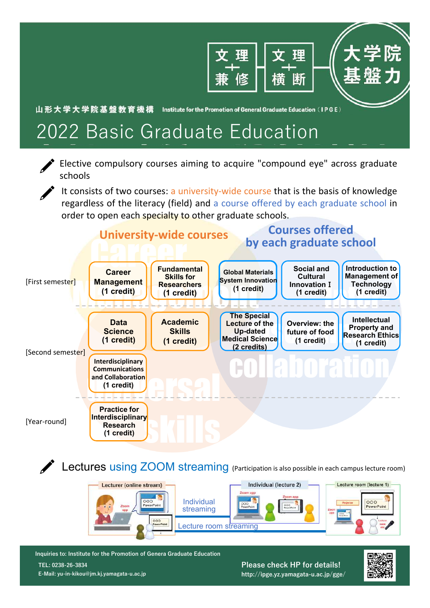

## 2022 Basic Graduate Education

Elective compulsory courses aiming to acquire "compound eye" across graduate schools

It consists of two courses: a university-wide course that is the basis of knowledge regardless of the literacy (field) and a course offered by each graduate school in order to open each specialty to other graduate schools.



**Lectures using ZOOM streaming** (Participation is also possible in each campus lecture room)





**http://ipge.yz.yamagata-u.ac.jp/gge/**

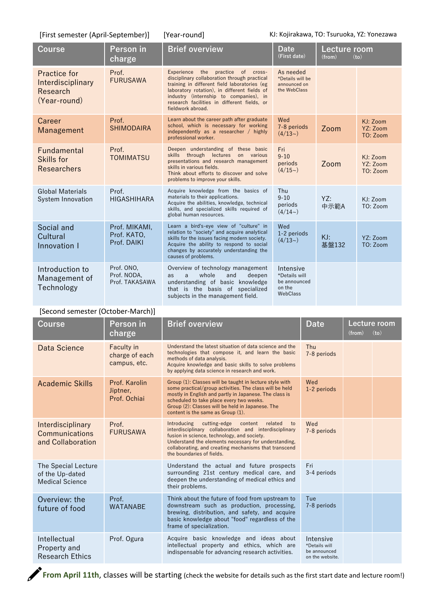[First semester (April‐September)] [Year‐round]

KJ: Kojirakawa, TO: Tsuruoka, YZ: Yonezawa

| <b>Course</b>                                                        | Person in<br>charge                         | <b>Brief overview</b>                                                                                                                                                                                                                                                                                 | <b>Date</b><br>(First date)                                      | Lecture room<br>(from)<br>(to) |                                  |
|----------------------------------------------------------------------|---------------------------------------------|-------------------------------------------------------------------------------------------------------------------------------------------------------------------------------------------------------------------------------------------------------------------------------------------------------|------------------------------------------------------------------|--------------------------------|----------------------------------|
| <b>Practice for</b><br>Interdisciplinary<br>Research<br>(Year-round) | Prof.<br><b>FURUSAWA</b>                    | practice of cross-<br>Experience<br>the<br>disciplinary collaboration through practical<br>training in different field laboratories (eg<br>laboratory rotation), in different fields of<br>industry (internship to companies), in<br>research facilities in different fields, or<br>fieldwork abroad. | As needed<br>*Details will be<br>announced on<br>the WebClass    |                                |                                  |
| Career<br>Management                                                 | Prof.<br><b>SHIMODAIRA</b>                  | Learn about the career path after graduate<br>school, which is necessary for working<br>independently as a researcher / highly<br>professional worker.                                                                                                                                                | Wed<br>7-8 periods<br>(4/13)                                     | Zoom                           | KJ: Zoom<br>YZ: Zoom<br>TO: Zoom |
| Fundamental<br>Skills for<br><b>Researchers</b>                      | Prof.<br><b>TOMIMATSU</b>                   | Deepen understanding of these basic<br>skills through lectures on various<br>presentations and research management<br>skills in various fields.<br>Think about efforts to discover and solve<br>problems to improve your skills.                                                                      | Fri<br>$9 - 10$<br>periods<br>(4/15)                             | Zoom                           | KJ: Zoom<br>YZ: Zoom<br>TO: Zoom |
| <b>Global Materials</b><br>System Innovation                         | Prof.<br><b>HIGASHIHARA</b>                 | Acquire knowledge from the basics of<br>materials to their applications.<br>Acquire the abilities, knowledge, technical<br>skills, and specialized skills required of<br>global human resources.                                                                                                      | Thu<br>$9 - 10$<br>periods<br>$(4/14-)$                          | YZ:<br>中示範A                    | KJ: Zoom<br>TO: Zoom             |
| Social and<br>Cultural<br>Innovation I                               | Prof. MIKAMI,<br>Prof. KATO,<br>Prof. DAIKI | Learn a bird's-eye view of "culture" in<br>relation to "society" and acquire analytical<br>skills for the issues facing modern society.<br>Acquire the ability to respond to social<br>changes by accurately understanding the<br>causes of problems.                                                 | Wed<br>1-2 periods<br>(4/13)                                     | KJ:<br>基盤132                   | YZ: Zoom<br>TO: Zoom             |
| Introduction to<br>Management of<br>Technology                       | Prof. ONO,<br>Prof. NODA,<br>Prof. TAKASAWA | Overview of technology management<br>whole<br>and<br>deepen<br>as<br>$\mathbf{a}$<br>understanding of basic knowledge<br>that is the basis of specialized<br>subjects in the management field.                                                                                                        | Intensive<br>*Details will<br>be announced<br>on the<br>WebClass |                                |                                  |

## [Second semester (October‐March)]

| <b>Course</b>                                                    | Person in<br>charge                                 | <b>Brief overview</b>                                                                                                                                                                                                                                                                                             | <b>Date</b>                                                   | Lecture room<br>(from)<br>(to) |  |
|------------------------------------------------------------------|-----------------------------------------------------|-------------------------------------------------------------------------------------------------------------------------------------------------------------------------------------------------------------------------------------------------------------------------------------------------------------------|---------------------------------------------------------------|--------------------------------|--|
| Data Science                                                     | <b>Faculty in</b><br>charge of each<br>campus, etc. | Understand the latest situation of data science and the<br>technologies that compose it, and learn the basic<br>methods of data analysis.<br>Acquire knowledge and basic skills to solve problems<br>by applying data science in research and work.                                                               | Thu<br>7-8 periods                                            |                                |  |
| <b>Academic Skills</b>                                           | Prof. Karolin<br>Jiptner,<br>Prof. Ochiai           | Group (1): Classes will be taught in lecture style with<br>some practical/group activities. The class will be held<br>mostly in English and partly in Japanese. The class is<br>scheduled to take place every two weeks.<br>Group (2): Classes will be held in Japanese. The<br>content is the same as Group (1). | Wed<br>1-2 periods                                            |                                |  |
| Interdisciplinary<br>Communications<br>and Collaboration         | Prof.<br><b>FURUSAWA</b>                            | cutting-edge<br>related<br>Introducing<br>content<br>to<br>interdisciplinary collaboration and interdisciplinary<br>fusion in science, technology, and society.<br>Understand the elements necessary for understanding,<br>collaborating, and creating mechanisms that transcend<br>the boundaries of fields.     | Wed<br>7-8 periods                                            |                                |  |
| The Special Lecture<br>of the Up-dated<br><b>Medical Science</b> |                                                     | Understand the actual and future prospects<br>surrounding 21st century medical care, and<br>deepen the understanding of medical ethics and<br>their problems.                                                                                                                                                     | Fri<br>3-4 periods                                            |                                |  |
| Overview: the<br>future of food                                  | Prof.<br><b>WATANABE</b>                            | Think about the future of food from upstream to<br>downstream such as production, processing,<br>brewing, distribution, and safety, and acquire<br>basic knowledge about "food" regardless of the<br>frame of specialization.                                                                                     | Tue<br>7-8 periods                                            |                                |  |
| Intellectual<br>Property and<br><b>Research Ethics</b>           | Prof. Ogura                                         | Acquire basic knowledge and ideas about<br>intellectual property and ethics, which are<br>indispensable for advancing research activities.                                                                                                                                                                        | Intensive<br>*Details will<br>be announced<br>on the website. |                                |  |

**From April 11th**, classes will be starting (check the website for details such as the first start date and lecture room!)